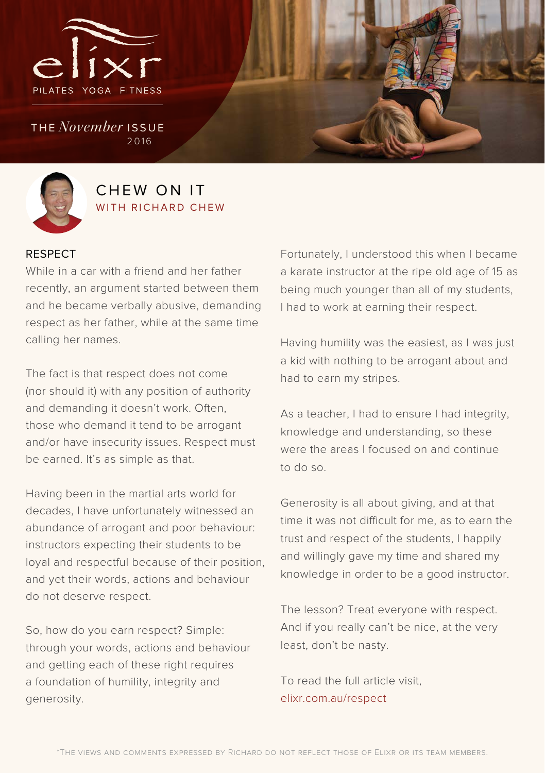

the *November* issue 2016



### CHEW ON IT WITH RICHARD CHEW

#### RESPECT

While in a car with a friend and her father recently, an argument started between them and he became verbally abusive, demanding respect as her father, while at the same time calling her names.

The fact is that respect does not come (nor should it) with any position of authority and demanding it doesn't work. Often, those who demand it tend to be arrogant and/or have insecurity issues. Respect must be earned. It's as simple as that.

Having been in the martial arts world for decades, I have unfortunately witnessed an abundance of arrogant and poor behaviour: instructors expecting their students to be loyal and respectful because of their position, and yet their words, actions and behaviour do not deserve respect.

So, how do you earn respect? Simple: through your words, actions and behaviour and getting each of these right requires a foundation of humility, integrity and generosity.

Fortunately, I understood this when I became a karate instructor at the ripe old age of 15 as being much younger than all of my students, I had to work at earning their respect.

Having humility was the easiest, as I was just a kid with nothing to be arrogant about and had to earn my stripes.

As a teacher, I had to ensure I had integrity, knowledge and understanding, so these were the areas I focused on and continue to do so.

Generosity is all about giving, and at that time it was not difficult for me, as to earn the trust and respect of the students, I happily and willingly gave my time and shared my knowledge in order to be a good instructor.

The lesson? Treat everyone with respect. And if you really can't be nice, at the very least, don't be nasty.

To read the full article visit, elixr.com.au/respect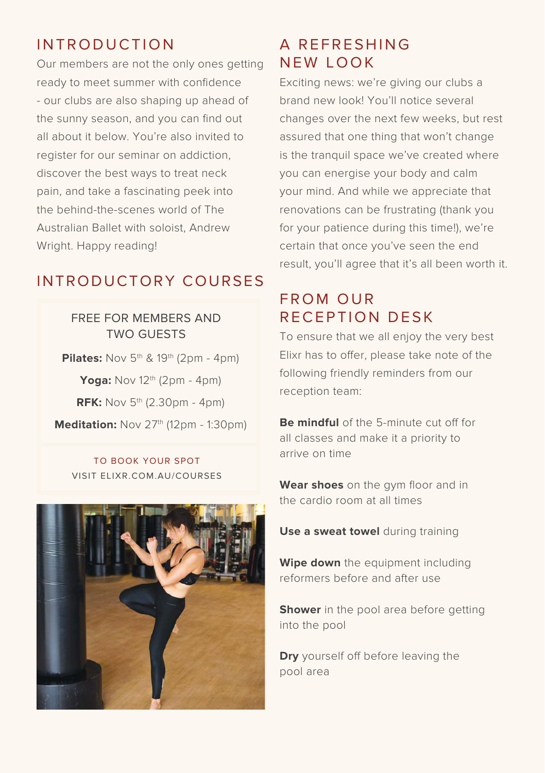## INTRODUCTION

Our members are not the only ones getting ready to meet summer with confidence - our clubs are also shaping up ahead of the sunny season, and you can find out all about it below. You're also invited to register for our seminar on addiction, discover the best ways to treat neck pain, and take a fascinating peek into the behind-the-scenes world of The Australian Ballet with soloist, Andrew Wright. Happy reading!

## INTRODUCTORY COURSES

FREE FOR MEMBERS AND TWO GUESTS

**Pilates:** Nov 5<sup>th</sup> & 19<sup>th</sup> (2pm - 4pm) **Yoga:** Nov 12<sup>th</sup> (2pm - 4pm) **RFK:** Nov 5<sup>th</sup> (2.30pm - 4pm) **Meditation:** Nov 27<sup>th</sup> (12pm - 1:30pm)

TO BOOK YOUR SPOT VISIT ELIXR.COM.AU/COURSES



## A REFRESHING NEW LOOK

Exciting news: we're giving our clubs a brand new look! You'll notice several changes over the next few weeks, but rest assured that one thing that won't change is the tranquil space we've created where you can energise your body and calm your mind. And while we appreciate that renovations can be frustrating (thank you for your patience during this time!), we're certain that once you've seen the end result, you'll agree that it's all been worth it.

### FROM OUR RECEPTION DESK

To ensure that we all enjoy the very best Elixr has to offer, please take note of the following friendly reminders from our reception team:

**Be mindful** of the 5-minute cut off for all classes and make it a priority to arrive on time

**Wear shoes** on the gym floor and in the cardio room at all times

**Use a sweat towel** during training

**Wipe down** the equipment including reformers before and after use

**Shower** in the pool area before getting into the pool

**Dry** yourself off before leaving the pool area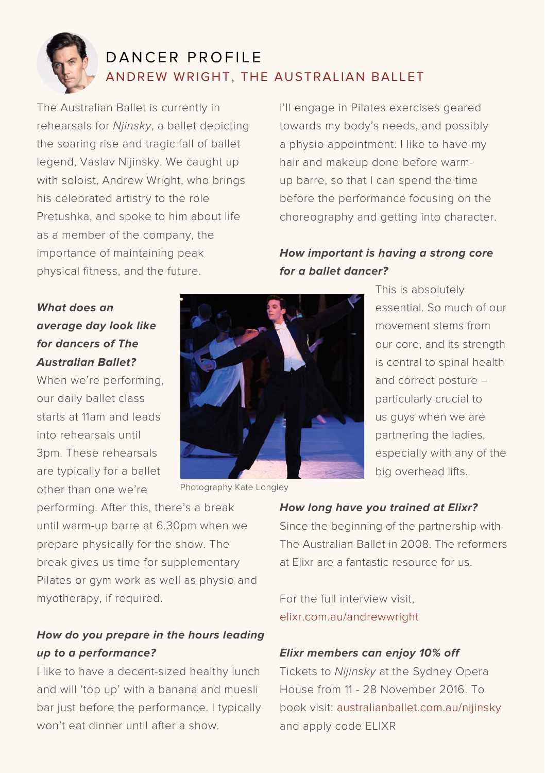

# DANCER PROFILE ANDREW WRIGHT, THE AUSTRALIAN BALLET

The Australian Ballet is currently in rehearsals for *Njinsky*, a ballet depicting the soaring rise and tragic fall of ballet legend, Vaslav Nijinsky. We caught up with soloist, Andrew Wright, who brings his celebrated artistry to the role Pretushka, and spoke to him about life as a member of the company, the importance of maintaining peak physical fitness, and the future.

I'll engage in Pilates exercises geared towards my body's needs, and possibly a physio appointment. I like to have my hair and makeup done before warmup barre, so that I can spend the time before the performance focusing on the choreography and getting into character.

### **How important is having a strong core for a ballet dancer?**

**What does an average day look like for dancers of The Australian Ballet?** 

When we're performing, our daily ballet class starts at 11am and leads into rehearsals until 3pm. These rehearsals are typically for a ballet other than one we're



Photography Kate Longley

This is absolutely essential. So much of our movement stems from our core, and its strength is central to spinal health and correct posture – particularly crucial to us guys when we are partnering the ladies, especially with any of the big overhead lifts.

performing. After this, there's a break until warm-up barre at 6.30pm when we prepare physically for the show. The break gives us time for supplementary Pilates or gym work as well as physio and myotherapy, if required.

### **How do you prepare in the hours leading up to a performance?**

I like to have a decent-sized healthy lunch and will 'top up' with a banana and muesli bar just before the performance. I typically won't eat dinner until after a show.

#### **How long have you trained at Elixr?**

Since the beginning of the partnership with The Australian Ballet in 2008. The reformers at Elixr are a fantastic resource for us.

For the full interview visit, elixr.com.au/andrewwright

#### **Elixr members can enjoy 10% off**

Tickets to *Nijinsky* at the Sydney Opera House from 11 - 28 November 2016. To book visit: australianballet.com.au/nijinsky and apply code ELIXR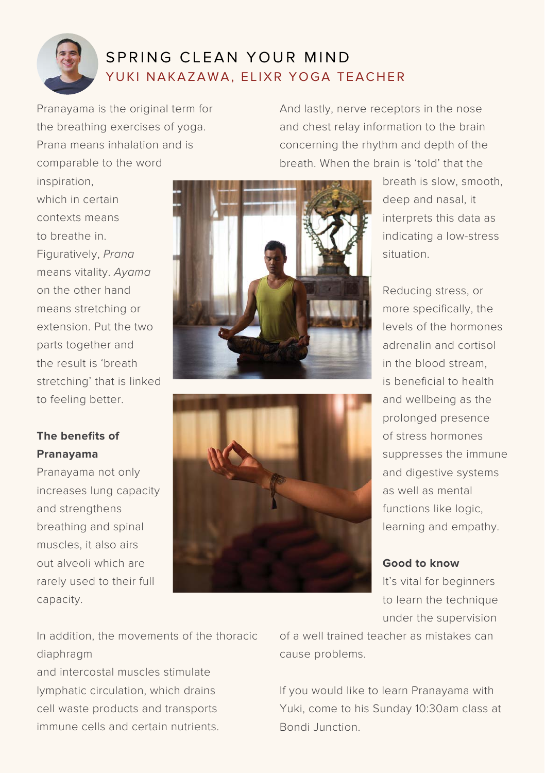

## SPRING CLEAN YOUR MIND YUKI NAKAZAWA, ELIXR YOGA TEACHER

Pranayama is the original term for the breathing exercises of yoga. Prana means inhalation and is comparable to the word

And lastly, nerve receptors in the nose and chest relay information to the brain concerning the rhythm and depth of the breath. When the brain is 'told' that the

inspiration, which in certain contexts means to breathe in. Figuratively, *Prana* means vitality. *Ayama* on the other hand means stretching or extension. Put the two parts together and the result is 'breath stretching' that is linked to feeling better.



breath is slow, smooth, deep and nasal, it interprets this data as indicating a low-stress situation.

Reducing stress, or more specifically, the levels of the hormones adrenalin and cortisol in the blood stream, is beneficial to health and wellbeing as the prolonged presence of stress hormones suppresses the immune and digestive systems as well as mental functions like logic, learning and empathy.

**Good to know**

It's vital for beginners to learn the technique under the supervision

**The benefits of Pranayama**

Pranayama not only increases lung capacity and strengthens breathing and spinal muscles, it also airs out alveoli which are rarely used to their full capacity.



In addition, the movements of the thoracic diaphragm

and intercostal muscles stimulate lymphatic circulation, which drains cell waste products and transports immune cells and certain nutrients. of a well trained teacher as mistakes can cause problems.

If you would like to learn Pranayama with Yuki, come to his Sunday 10:30am class at Bondi Junction.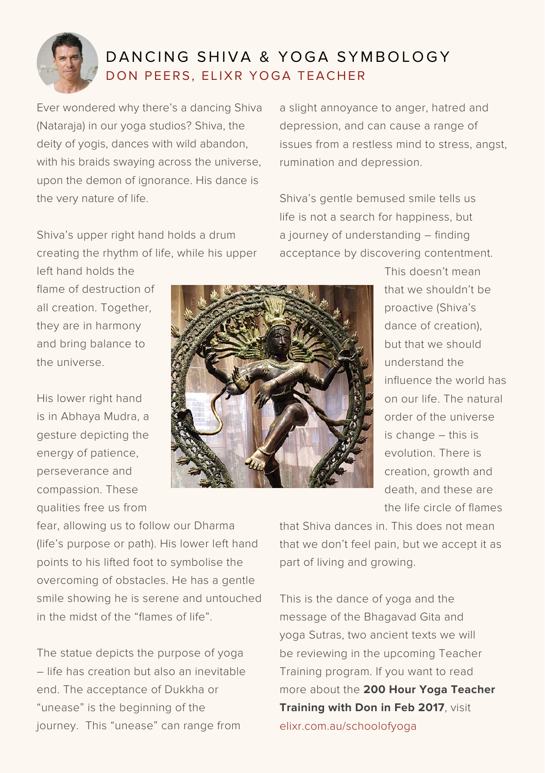

## DANCING SHIVA & YOGA SYMBOLOGY DON PEERS, ELIXR YOGA TEACHER

Ever wondered why there's a dancing Shiva (Nataraja) in our yoga studios? Shiva, the deity of yogis, dances with wild abandon, with his braids swaying across the universe. upon the demon of ignorance. His dance is the very nature of life.

Shiva's upper right hand holds a drum creating the rhythm of life, while his upper

a slight annoyance to anger, hatred and depression, and can cause a range of issues from a restless mind to stress, angst, rumination and depression.

Shiva's gentle bemused smile tells us life is not a search for happiness, but a journey of understanding – finding acceptance by discovering contentment.

left hand holds the flame of destruction of all creation. Together, they are in harmony and bring balance to the universe.

His lower right hand is in Abhaya Mudra, a gesture depicting the energy of patience, perseverance and compassion. These qualities free us from



This doesn't mean that we shouldn't be proactive (Shiva's dance of creation), but that we should understand the influence the world has on our life. The natural order of the universe is change – this is evolution. There is creation, growth and death, and these are the life circle of flames

fear, allowing us to follow our Dharma (life's purpose or path). His lower left hand points to his lifted foot to symbolise the overcoming of obstacles. He has a gentle smile showing he is serene and untouched in the midst of the "flames of life".

The statue depicts the purpose of yoga – life has creation but also an inevitable end. The acceptance of Dukkha or "unease" is the beginning of the journey. This "unease" can range from

that Shiva dances in. This does not mean that we don't feel pain, but we accept it as part of living and growing.

This is the dance of yoga and the message of the Bhagavad Gita and yoga Sutras, two ancient texts we will be reviewing in the upcoming Teacher Training program. If you want to read more about the **200 Hour Yoga Teacher Training with Don in Feb 2017**, visit elixr.com.au/schoolofyoga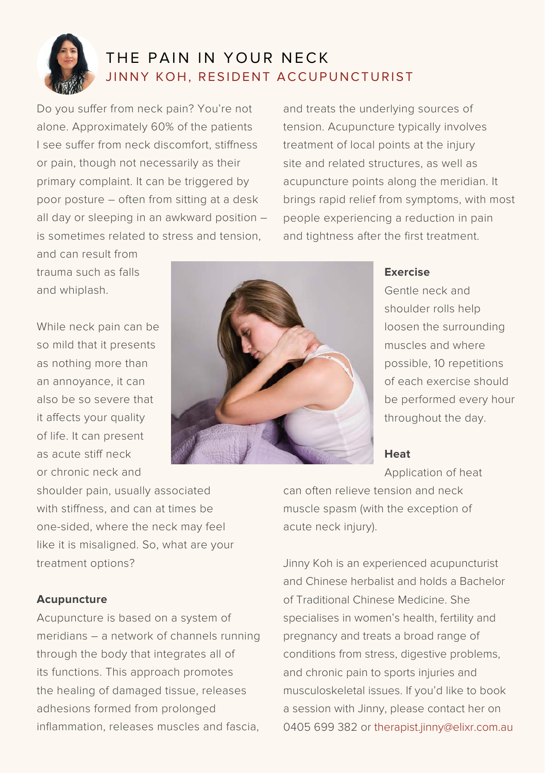

# THE PAIN IN YOUR NECK JINNY KOH, RESIDENT ACCUPUNCTURIST

Do you suffer from neck pain? You're not alone. Approximately 60% of the patients I see suffer from neck discomfort, stiffness or pain, though not necessarily as their primary complaint. It can be triggered by poor posture – often from sitting at a desk all day or sleeping in an awkward position – is sometimes related to stress and tension,

and treats the underlying sources of tension. Acupuncture typically involves treatment of local points at the injury site and related structures, as well as acupuncture points along the meridian. It brings rapid relief from symptoms, with most people experiencing a reduction in pain and tightness after the first treatment.

and can result from trauma such as falls and whiplash.

While neck pain can be so mild that it presents as nothing more than an annoyance, it can also be so severe that it affects your quality of life. It can present as acute stiff neck or chronic neck and



#### **Exercise**

Gentle neck and shoulder rolls help loosen the surrounding muscles and where possible, 10 repetitions of each exercise should be performed every hour throughout the day.

#### **Heat**

Application of heat

shoulder pain, usually associated with stiffness, and can at times be one-sided, where the neck may feel like it is misaligned. So, what are your treatment options?

#### **Acupuncture**

Acupuncture is based on a system of meridians – a network of channels running through the body that integrates all of its functions. This approach promotes the healing of damaged tissue, releases adhesions formed from prolonged inflammation, releases muscles and fascia can often relieve tension and neck muscle spasm (with the exception of acute neck injury).

Jinny Koh is an experienced acupuncturist and Chinese herbalist and holds a Bachelor of Traditional Chinese Medicine. She specialises in women's health, fertility and pregnancy and treats a broad range of conditions from stress, digestive problems, and chronic pain to sports injuries and musculoskeletal issues. If you'd like to book a session with Jinny, please contact her on 0405 699 382 or therapist.jinny@elixr.com.au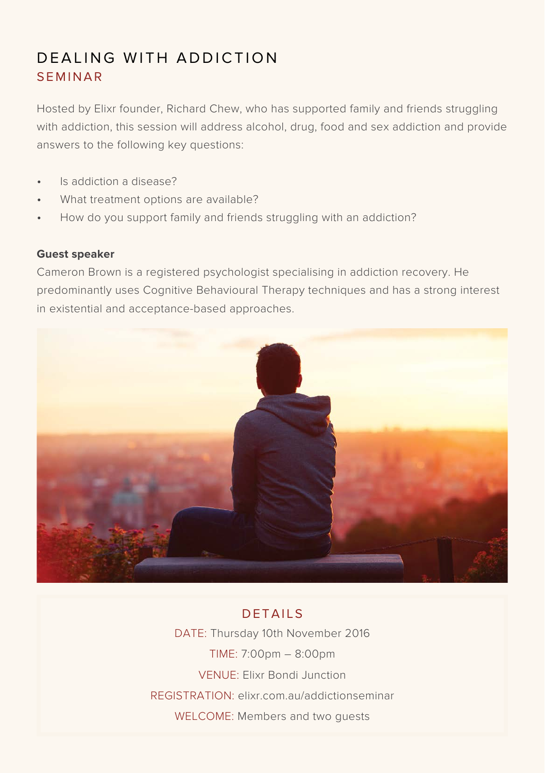# DEALING WITH ADDICTION SEMINAR

Hosted by Elixr founder, Richard Chew, who has supported family and friends struggling with addiction, this session will address alcohol, drug, food and sex addiction and provide answers to the following key questions:

- Is addiction a disease?
- What treatment options are available?
- How do you support family and friends struggling with an addiction?

#### **Guest speaker**

Cameron Brown is a registered psychologist specialising in addiction recovery. He predominantly uses Cognitive Behavioural Therapy techniques and has a strong interest in existential and acceptance-based approaches.



### DETAILS

DATE: Thursday 10th November 2016 TIME: 7:00pm – 8:00pm VENUE: Elixr Bondi Junction REGISTRATION: elixr.com.au/addictionseminar WELCOME: Members and two guests